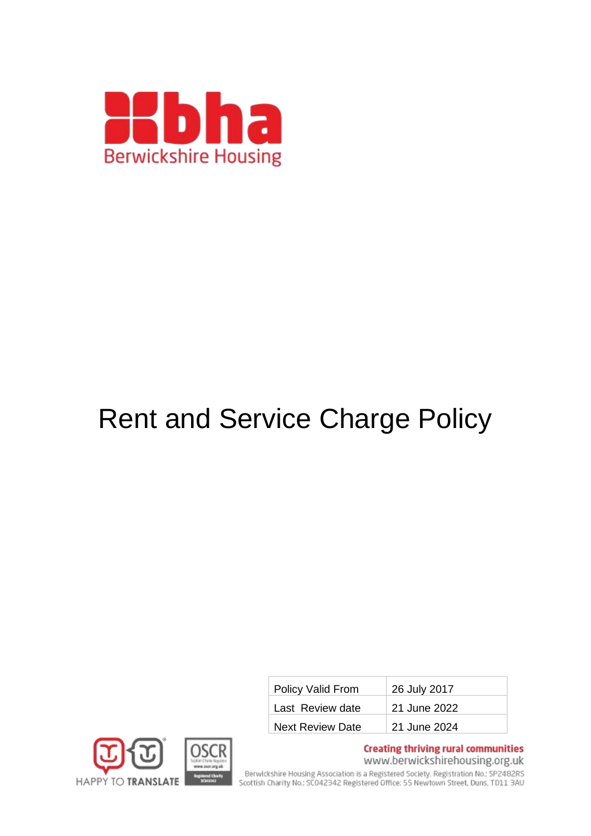

# Rent and Service Charge Policy

| Policy Valid From       | 26 July 2017 |
|-------------------------|--------------|
| Last Review date        | 21 June 2022 |
| <b>Next Review Date</b> | 21 June 2024 |



**Creating thriving rural communities** 

www.berwickshirehousing.org.uk

Berwickshire Housing Association is a Registered Society. Registration No.: SP2482RS<br>Scottish Charity No.: SC042342 Registered Office: 55 Newtown Street, Duns, T011 3AU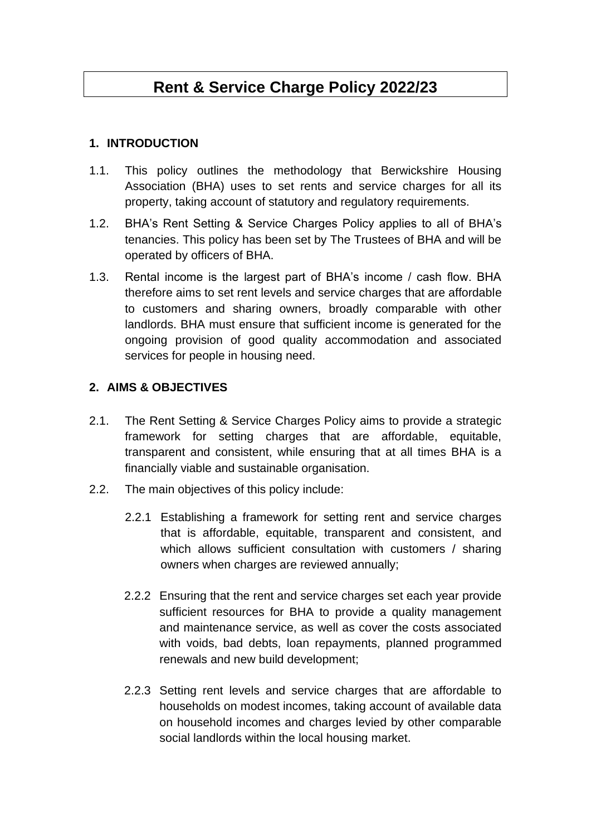### **Rent & Service Charge Policy 2022/23**

#### **1. INTRODUCTION**

- 1.1. This policy outlines the methodology that Berwickshire Housing Association (BHA) uses to set rents and service charges for all its property, taking account of statutory and regulatory requirements.
- 1.2. BHA's Rent Setting & Service Charges Policy applies to all of BHA's tenancies. This policy has been set by The Trustees of BHA and will be operated by officers of BHA.
- 1.3. Rental income is the largest part of BHA's income / cash flow. BHA therefore aims to set rent levels and service charges that are affordable to customers and sharing owners, broadly comparable with other landlords. BHA must ensure that sufficient income is generated for the ongoing provision of good quality accommodation and associated services for people in housing need.

#### **2. AIMS & OBJECTIVES**

- 2.1. The Rent Setting & Service Charges Policy aims to provide a strategic framework for setting charges that are affordable, equitable, transparent and consistent, while ensuring that at all times BHA is a financially viable and sustainable organisation.
- 2.2. The main objectives of this policy include:
	- 2.2.1 Establishing a framework for setting rent and service charges that is affordable, equitable, transparent and consistent, and which allows sufficient consultation with customers / sharing owners when charges are reviewed annually;
	- 2.2.2 Ensuring that the rent and service charges set each year provide sufficient resources for BHA to provide a quality management and maintenance service, as well as cover the costs associated with voids, bad debts, loan repayments, planned programmed renewals and new build development;
	- 2.2.3 Setting rent levels and service charges that are affordable to households on modest incomes, taking account of available data on household incomes and charges levied by other comparable social landlords within the local housing market.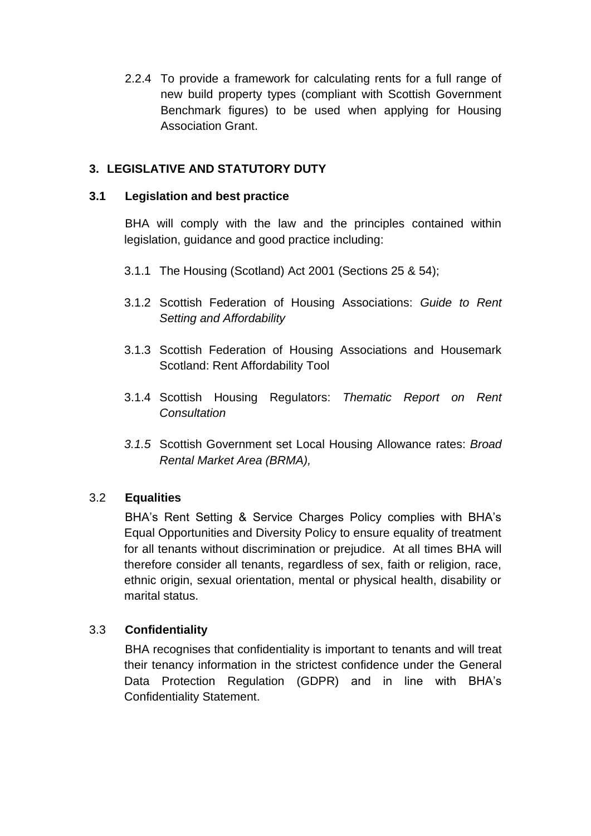2.2.4 To provide a framework for calculating rents for a full range of new build property types (compliant with Scottish Government Benchmark figures) to be used when applying for Housing Association Grant.

#### **3. LEGISLATIVE AND STATUTORY DUTY**

#### **3.1 Legislation and best practice**

BHA will comply with the law and the principles contained within legislation, guidance and good practice including:

- 3.1.1 The Housing (Scotland) Act 2001 (Sections 25 & 54);
- 3.1.2 Scottish Federation of Housing Associations: *Guide to Rent Setting and Affordability*
- 3.1.3 Scottish Federation of Housing Associations and Housemark Scotland: Rent Affordability Tool
- 3.1.4 Scottish Housing Regulators: *Thematic Report on Rent Consultation*
- *3.1.5* Scottish Government set Local Housing Allowance rates: *Broad Rental Market Area (BRMA),*

#### 3.2 **Equalities**

BHA's Rent Setting & Service Charges Policy complies with BHA's Equal Opportunities and Diversity Policy to ensure equality of treatment for all tenants without discrimination or prejudice. At all times BHA will therefore consider all tenants, regardless of sex, faith or religion, race, ethnic origin, sexual orientation, mental or physical health, disability or marital status.

#### 3.3 **Confidentiality**

BHA recognises that confidentiality is important to tenants and will treat their tenancy information in the strictest confidence under the General Data Protection Regulation (GDPR) and in line with BHA's Confidentiality Statement.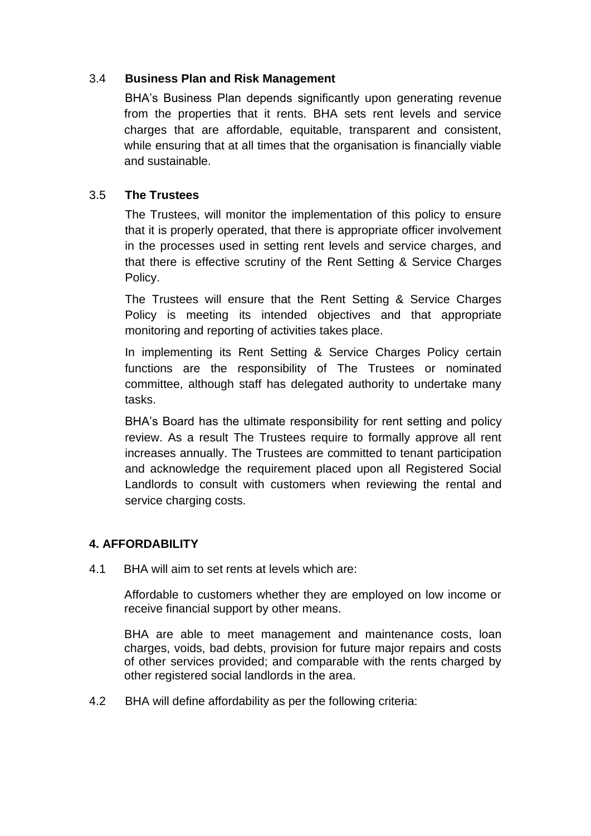#### 3.4 **Business Plan and Risk Management**

BHA's Business Plan depends significantly upon generating revenue from the properties that it rents. BHA sets rent levels and service charges that are affordable, equitable, transparent and consistent, while ensuring that at all times that the organisation is financially viable and sustainable.

#### 3.5 **The Trustees**

The Trustees, will monitor the implementation of this policy to ensure that it is properly operated, that there is appropriate officer involvement in the processes used in setting rent levels and service charges, and that there is effective scrutiny of the Rent Setting & Service Charges Policy.

The Trustees will ensure that the Rent Setting & Service Charges Policy is meeting its intended objectives and that appropriate monitoring and reporting of activities takes place.

In implementing its Rent Setting & Service Charges Policy certain functions are the responsibility of The Trustees or nominated committee, although staff has delegated authority to undertake many tasks.

BHA's Board has the ultimate responsibility for rent setting and policy review. As a result The Trustees require to formally approve all rent increases annually. The Trustees are committed to tenant participation and acknowledge the requirement placed upon all Registered Social Landlords to consult with customers when reviewing the rental and service charging costs.

#### **4. AFFORDABILITY**

4.1 BHA will aim to set rents at levels which are:

Affordable to customers whether they are employed on low income or receive financial support by other means.

BHA are able to meet management and maintenance costs, loan charges, voids, bad debts, provision for future major repairs and costs of other services provided; and comparable with the rents charged by other registered social landlords in the area.

4.2 BHA will define affordability as per the following criteria: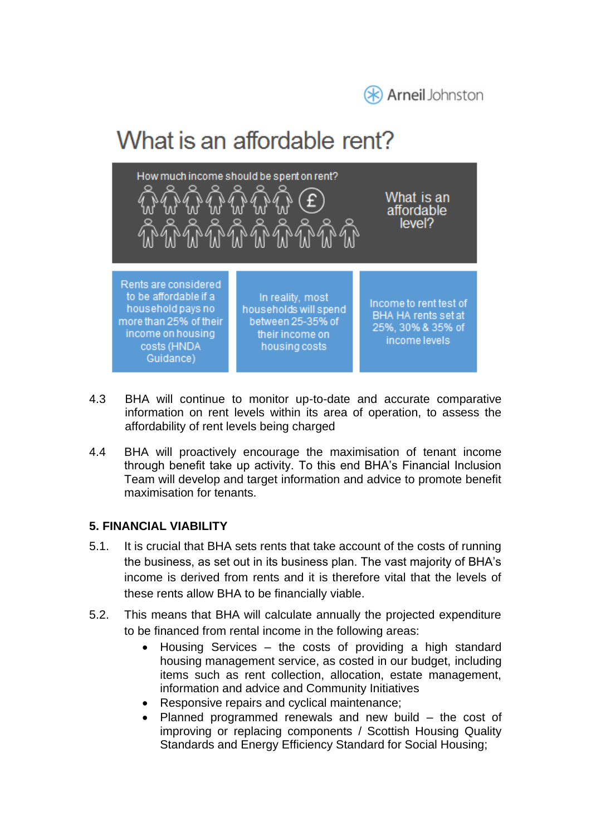

## What is an affordable rent?



- 4.3 BHA will continue to monitor up-to-date and accurate comparative information on rent levels within its area of operation, to assess the affordability of rent levels being charged
- 4.4 BHA will proactively encourage the maximisation of tenant income through benefit take up activity. To this end BHA's Financial Inclusion Team will develop and target information and advice to promote benefit maximisation for tenants.

#### **5. FINANCIAL VIABILITY**

- 5.1. It is crucial that BHA sets rents that take account of the costs of running the business, as set out in its business plan. The vast majority of BHA's income is derived from rents and it is therefore vital that the levels of these rents allow BHA to be financially viable.
- 5.2. This means that BHA will calculate annually the projected expenditure to be financed from rental income in the following areas:
	- Housing Services  $-$  the costs of providing a high standard housing management service, as costed in our budget, including items such as rent collection, allocation, estate management, information and advice and Community Initiatives
	- Responsive repairs and cyclical maintenance;
	- Planned programmed renewals and new build the cost of improving or replacing components / Scottish Housing Quality Standards and Energy Efficiency Standard for Social Housing;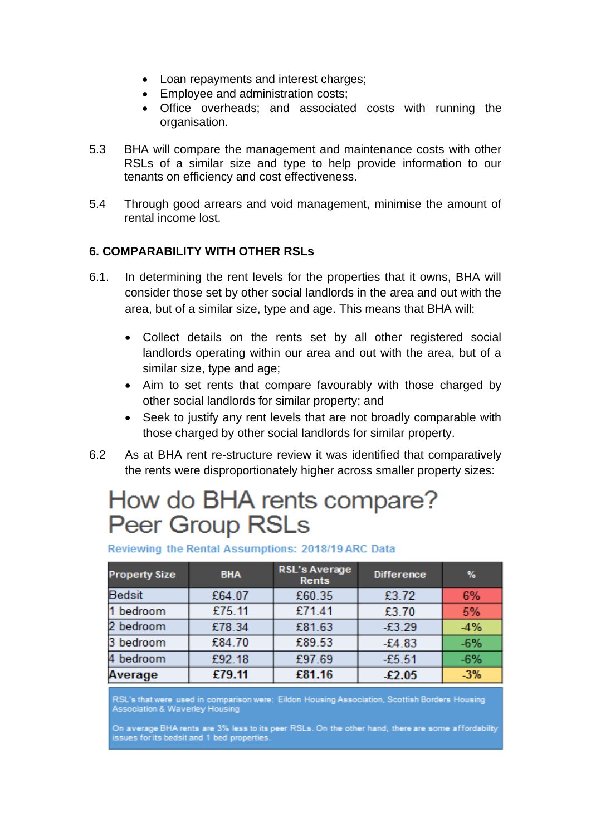- Loan repayments and interest charges;
- Employee and administration costs;
- Office overheads; and associated costs with running the organisation.
- 5.3 BHA will compare the management and maintenance costs with other RSLs of a similar size and type to help provide information to our tenants on efficiency and cost effectiveness.
- 5.4 Through good arrears and void management, minimise the amount of rental income lost.

#### **6. COMPARABILITY WITH OTHER RSLs**

- 6.1. In determining the rent levels for the properties that it owns, BHA will consider those set by other social landlords in the area and out with the area, but of a similar size, type and age. This means that BHA will:
	- Collect details on the rents set by all other registered social landlords operating within our area and out with the area, but of a similar size, type and age;
	- Aim to set rents that compare favourably with those charged by other social landlords for similar property; and
	- Seek to justify any rent levels that are not broadly comparable with those charged by other social landlords for similar property.
- 6.2 As at BHA rent re-structure review it was identified that comparatively the rents were disproportionately higher across smaller property sizes:

### How do BHA rents compare? **Peer Group RSLs**

| <b>Property Size</b> | <b>BHA</b> | <b>RSL's Average</b><br>Rents | <b>Difference</b> | %     |
|----------------------|------------|-------------------------------|-------------------|-------|
| <b>Bedsit</b>        | £64.07     | £60.35                        | £3.72             | 6%    |
| 1 bedroom            | £75.11     | £71.41                        | £3.70             | 5%    |
| 2 bedroom            | £78.34     | £81.63                        | $-£3.29$          | $-4%$ |
| 3 bedroom            | £84.70     | £89.53                        | $-E4.83$          | $-6%$ |
| 4 bedroom            | £92.18     | £97.69                        | $-£5.51$          | $-6%$ |
| Average              | £79.11     | £81.16                        | £2.05             | $-3%$ |

#### Reviewing the Rental Assumptions: 2018/19 ARC Data

RSL's that were used in comparison were: Eildon Housing Association, Scottish Borders Housing Association & Waverley Housing

On average BHA rents are 3% less to its peer RSLs. On the other hand, there are some affordability issues for its bedsit and 1 bed properties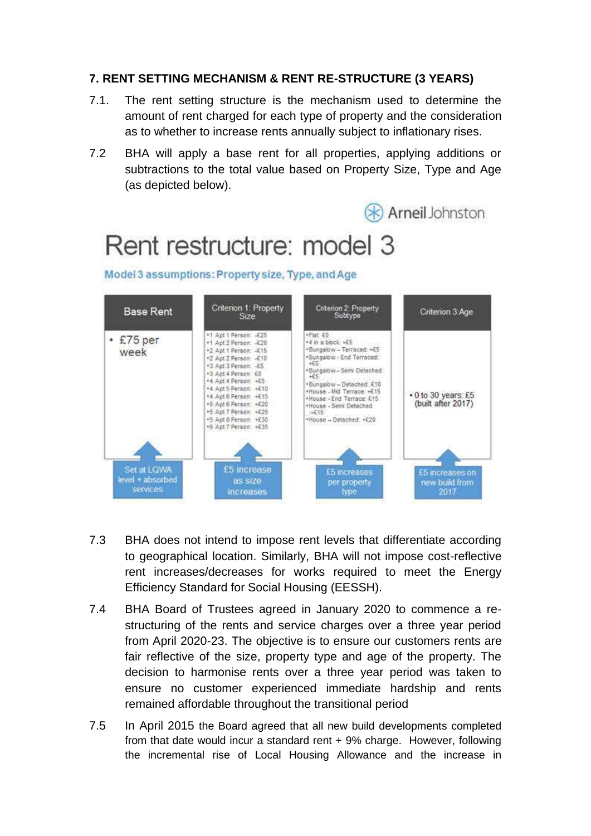#### **7. RENT SETTING MECHANISM & RENT RE-STRUCTURE (3 YEARS)**

- 7.1. The rent setting structure is the mechanism used to determine the amount of rent charged for each type of property and the consideration as to whether to increase rents annually subject to inflationary rises.
- 7.2 BHA will apply a base rent for all properties, applying additions or subtractions to the total value based on Property Size, Type and Age (as depicted below).



- 7.3 BHA does not intend to impose rent levels that differentiate according to geographical location. Similarly, BHA will not impose cost-reflective rent increases/decreases for works required to meet the Energy Efficiency Standard for Social Housing (EESSH).
- 7.4 BHA Board of Trustees agreed in January 2020 to commence a restructuring of the rents and service charges over a three year period from April 2020-23. The objective is to ensure our customers rents are fair reflective of the size, property type and age of the property. The decision to harmonise rents over a three year period was taken to ensure no customer experienced immediate hardship and rents remained affordable throughout the transitional period
- 7.5 In April 2015 the Board agreed that all new build developments completed from that date would incur a standard rent + 9% charge. However, following the incremental rise of Local Housing Allowance and the increase in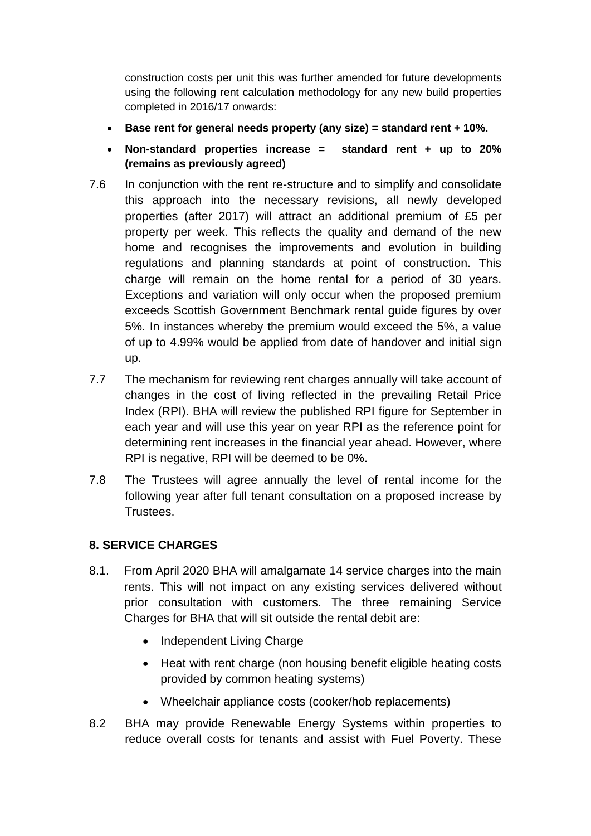construction costs per unit this was further amended for future developments using the following rent calculation methodology for any new build properties completed in 2016/17 onwards:

- **Base rent for general needs property (any size) = standard rent + 10%.**
- **Non-standard properties increase = standard rent + up to 20% (remains as previously agreed)**
- 7.6 In conjunction with the rent re-structure and to simplify and consolidate this approach into the necessary revisions, all newly developed properties (after 2017) will attract an additional premium of £5 per property per week. This reflects the quality and demand of the new home and recognises the improvements and evolution in building regulations and planning standards at point of construction. This charge will remain on the home rental for a period of 30 years. Exceptions and variation will only occur when the proposed premium exceeds Scottish Government Benchmark rental guide figures by over 5%. In instances whereby the premium would exceed the 5%, a value of up to 4.99% would be applied from date of handover and initial sign up.
- 7.7 The mechanism for reviewing rent charges annually will take account of changes in the cost of living reflected in the prevailing Retail Price Index (RPI). BHA will review the published RPI figure for September in each year and will use this year on year RPI as the reference point for determining rent increases in the financial year ahead. However, where RPI is negative, RPI will be deemed to be 0%.
- 7.8 The Trustees will agree annually the level of rental income for the following year after full tenant consultation on a proposed increase by Trustees.

#### **8. SERVICE CHARGES**

- 8.1. From April 2020 BHA will amalgamate 14 service charges into the main rents. This will not impact on any existing services delivered without prior consultation with customers. The three remaining Service Charges for BHA that will sit outside the rental debit are:
	- Independent Living Charge
	- Heat with rent charge (non housing benefit eligible heating costs provided by common heating systems)
	- Wheelchair appliance costs (cooker/hob replacements)
- 8.2 BHA may provide Renewable Energy Systems within properties to reduce overall costs for tenants and assist with Fuel Poverty. These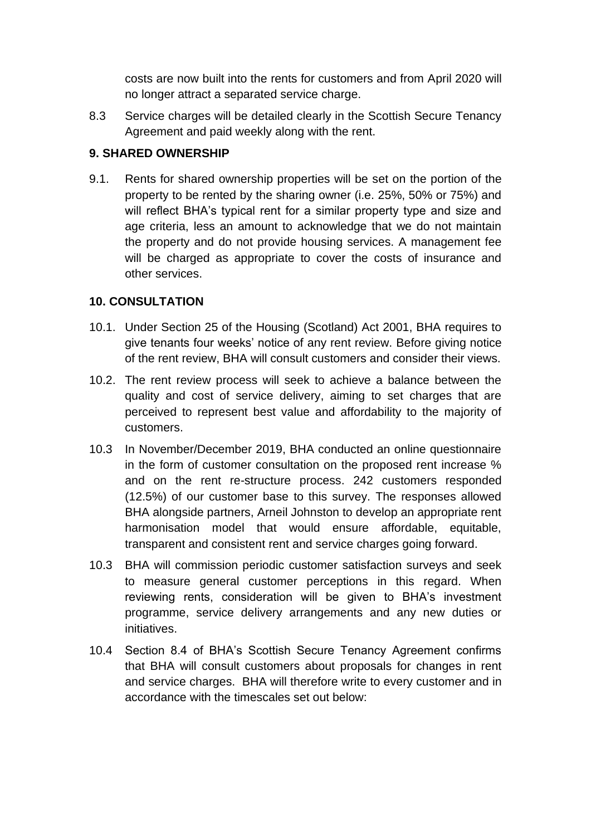costs are now built into the rents for customers and from April 2020 will no longer attract a separated service charge.

8.3 Service charges will be detailed clearly in the Scottish Secure Tenancy Agreement and paid weekly along with the rent.

#### **9. SHARED OWNERSHIP**

9.1. Rents for shared ownership properties will be set on the portion of the property to be rented by the sharing owner (i.e. 25%, 50% or 75%) and will reflect BHA's typical rent for a similar property type and size and age criteria, less an amount to acknowledge that we do not maintain the property and do not provide housing services. A management fee will be charged as appropriate to cover the costs of insurance and other services.

#### **10. CONSULTATION**

- 10.1. Under Section 25 of the Housing (Scotland) Act 2001, BHA requires to give tenants four weeks' notice of any rent review. Before giving notice of the rent review, BHA will consult customers and consider their views.
- 10.2. The rent review process will seek to achieve a balance between the quality and cost of service delivery, aiming to set charges that are perceived to represent best value and affordability to the majority of customers.
- 10.3 In November/December 2019, BHA conducted an online questionnaire in the form of customer consultation on the proposed rent increase % and on the rent re-structure process. 242 customers responded (12.5%) of our customer base to this survey. The responses allowed BHA alongside partners, Arneil Johnston to develop an appropriate rent harmonisation model that would ensure affordable, equitable, transparent and consistent rent and service charges going forward.
- 10.3 BHA will commission periodic customer satisfaction surveys and seek to measure general customer perceptions in this regard. When reviewing rents, consideration will be given to BHA's investment programme, service delivery arrangements and any new duties or initiatives.
- 10.4 Section 8.4 of BHA's Scottish Secure Tenancy Agreement confirms that BHA will consult customers about proposals for changes in rent and service charges. BHA will therefore write to every customer and in accordance with the timescales set out below: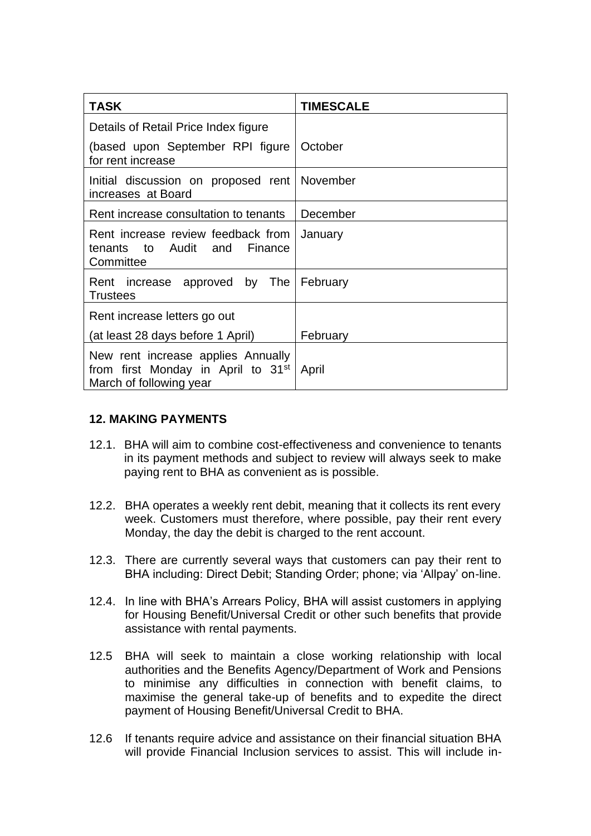| TASK                                                                                                            | <b>TIMESCALE</b> |
|-----------------------------------------------------------------------------------------------------------------|------------------|
| Details of Retail Price Index figure                                                                            |                  |
| (based upon September RPI figure<br>for rent increase                                                           | October          |
| Initial discussion on proposed rent November<br>increases at Board                                              |                  |
| Rent increase consultation to tenants                                                                           | December         |
| Rent increase review feedback from<br>tenants to Audit and Finance<br>Committee                                 | January          |
| Rent increase approved by The<br><b>Trustees</b>                                                                | February         |
| Rent increase letters go out                                                                                    |                  |
| (at least 28 days before 1 April)                                                                               | February         |
| New rent increase applies Annually<br>from first Monday in April to 31 <sup>st</sup><br>March of following year | April            |

#### **12. MAKING PAYMENTS**

- 12.1. BHA will aim to combine cost-effectiveness and convenience to tenants in its payment methods and subject to review will always seek to make paying rent to BHA as convenient as is possible.
- 12.2. BHA operates a weekly rent debit, meaning that it collects its rent every week. Customers must therefore, where possible, pay their rent every Monday, the day the debit is charged to the rent account.
- 12.3. There are currently several ways that customers can pay their rent to BHA including: Direct Debit; Standing Order; phone; via 'Allpay' on-line.
- 12.4. In line with BHA's Arrears Policy, BHA will assist customers in applying for Housing Benefit/Universal Credit or other such benefits that provide assistance with rental payments.
- 12.5 BHA will seek to maintain a close working relationship with local authorities and the Benefits Agency/Department of Work and Pensions to minimise any difficulties in connection with benefit claims, to maximise the general take-up of benefits and to expedite the direct payment of Housing Benefit/Universal Credit to BHA.
- 12.6 If tenants require advice and assistance on their financial situation BHA will provide Financial Inclusion services to assist. This will include in-